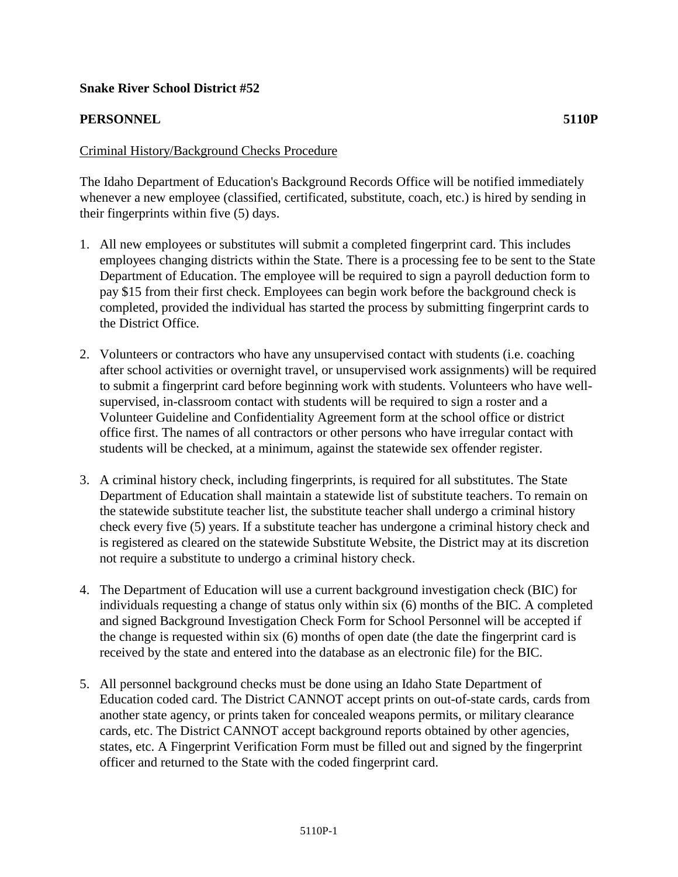## **Snake River School District #52**

## **PERSONNEL 5110P**

## Criminal History/Background Checks Procedure

The Idaho Department of Education's Background Records Office will be notified immediately whenever a new employee (classified, certificated, substitute, coach, etc.) is hired by sending in their fingerprints within five (5) days.

- 1. All new employees or substitutes will submit a completed fingerprint card. This includes employees changing districts within the State. There is a processing fee to be sent to the State Department of Education. The employee will be required to sign a payroll deduction form to pay \$15 from their first check. Employees can begin work before the background check is completed, provided the individual has started the process by submitting fingerprint cards to the District Office.
- 2. Volunteers or contractors who have any unsupervised contact with students (i.e. coaching after school activities or overnight travel, or unsupervised work assignments) will be required to submit a fingerprint card before beginning work with students. Volunteers who have wellsupervised, in-classroom contact with students will be required to sign a roster and a Volunteer Guideline and Confidentiality Agreement form at the school office or district office first. The names of all contractors or other persons who have irregular contact with students will be checked, at a minimum, against the statewide sex offender register.
- 3. A criminal history check, including fingerprints, is required for all substitutes. The State Department of Education shall maintain a statewide list of substitute teachers. To remain on the statewide substitute teacher list, the substitute teacher shall undergo a criminal history check every five (5) years. If a substitute teacher has undergone a criminal history check and is registered as cleared on the statewide Substitute Website, the District may at its discretion not require a substitute to undergo a criminal history check.
- 4. The Department of Education will use a current background investigation check (BIC) for individuals requesting a change of status only within six (6) months of the BIC. A completed and signed Background Investigation Check Form for School Personnel will be accepted if the change is requested within six (6) months of open date (the date the fingerprint card is received by the state and entered into the database as an electronic file) for the BIC.
- 5. All personnel background checks must be done using an Idaho State Department of Education coded card. The District CANNOT accept prints on out-of-state cards, cards from another state agency, or prints taken for concealed weapons permits, or military clearance cards, etc. The District CANNOT accept background reports obtained by other agencies, states, etc. A Fingerprint Verification Form must be filled out and signed by the fingerprint officer and returned to the State with the coded fingerprint card.